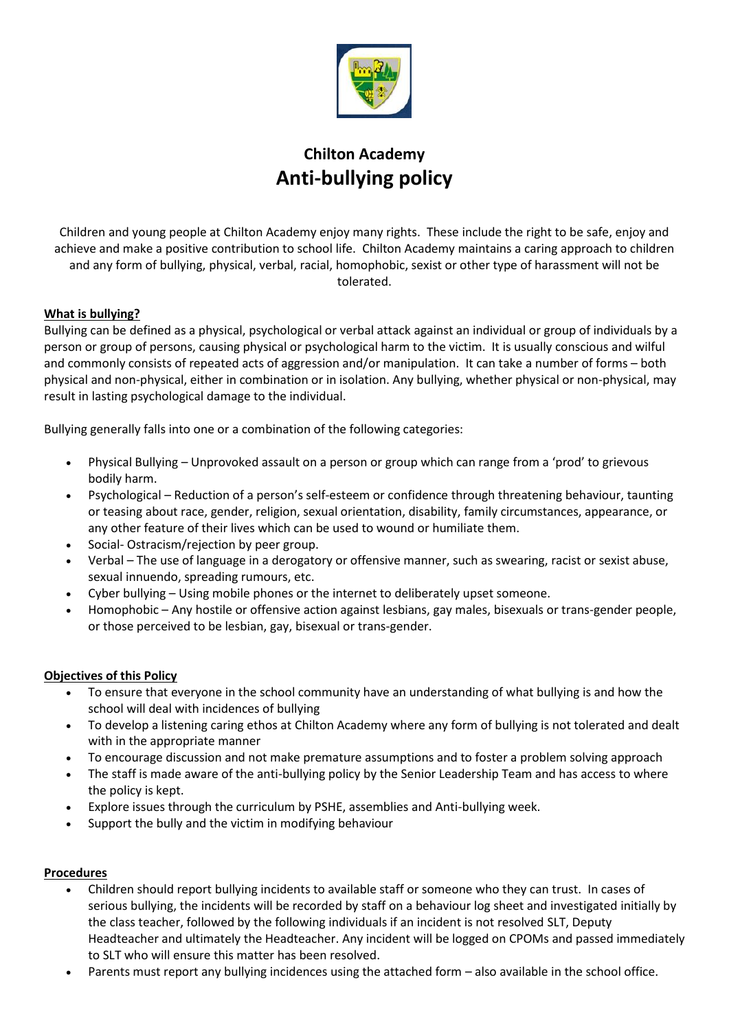

# **Chilton Academy Anti-bullying policy**

Children and young people at Chilton Academy enjoy many rights. These include the right to be safe, enjoy and achieve and make a positive contribution to school life. Chilton Academy maintains a caring approach to children and any form of bullying, physical, verbal, racial, homophobic, sexist or other type of harassment will not be tolerated.

## **What is bullying?**

Bullying can be defined as a physical, psychological or verbal attack against an individual or group of individuals by a person or group of persons, causing physical or psychological harm to the victim. It is usually conscious and wilful and commonly consists of repeated acts of aggression and/or manipulation. It can take a number of forms – both physical and non-physical, either in combination or in isolation. Any bullying, whether physical or non-physical, may result in lasting psychological damage to the individual.

Bullying generally falls into one or a combination of the following categories:

- Physical Bullying Unprovoked assault on a person or group which can range from a 'prod' to grievous bodily harm.
- Psychological Reduction of a person's self-esteem or confidence through threatening behaviour, taunting or teasing about race, gender, religion, sexual orientation, disability, family circumstances, appearance, or any other feature of their lives which can be used to wound or humiliate them.
- Social- Ostracism/rejection by peer group.
- Verbal The use of language in a derogatory or offensive manner, such as swearing, racist or sexist abuse, sexual innuendo, spreading rumours, etc.
- Cyber bullying Using mobile phones or the internet to deliberately upset someone.
- Homophobic Any hostile or offensive action against lesbians, gay males, bisexuals or trans-gender people, or those perceived to be lesbian, gay, bisexual or trans-gender.

#### **Objectives of this Policy**

- To ensure that everyone in the school community have an understanding of what bullying is and how the school will deal with incidences of bullying
- To develop a listening caring ethos at Chilton Academy where any form of bullying is not tolerated and dealt with in the appropriate manner
- To encourage discussion and not make premature assumptions and to foster a problem solving approach
- The staff is made aware of the anti-bullying policy by the Senior Leadership Team and has access to where the policy is kept.
- Explore issues through the curriculum by PSHE, assemblies and Anti-bullying week.
- Support the bully and the victim in modifying behaviour

#### **Procedures**

- Children should report bullying incidents to available staff or someone who they can trust. In cases of serious bullying, the incidents will be recorded by staff on a behaviour log sheet and investigated initially by the class teacher, followed by the following individuals if an incident is not resolved SLT, Deputy Headteacher and ultimately the Headteacher. Any incident will be logged on CPOMs and passed immediately to SLT who will ensure this matter has been resolved.
- Parents must report any bullying incidences using the attached form also available in the school office.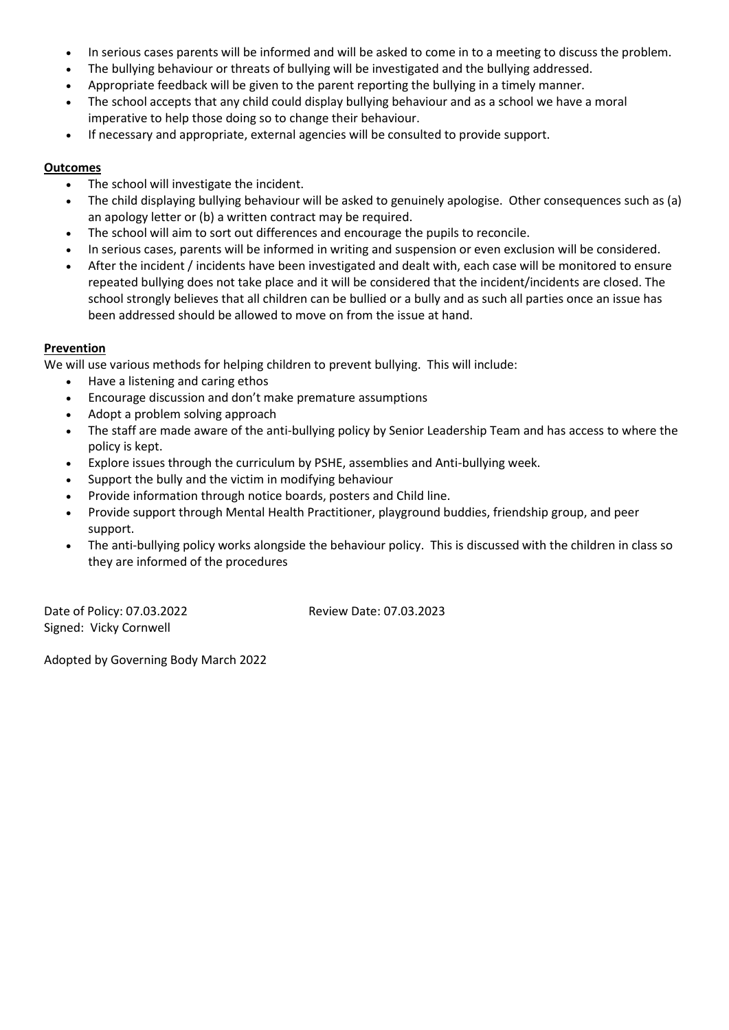- In serious cases parents will be informed and will be asked to come in to a meeting to discuss the problem.
- The bullying behaviour or threats of bullying will be investigated and the bullying addressed.
- Appropriate feedback will be given to the parent reporting the bullying in a timely manner.
- The school accepts that any child could display bullying behaviour and as a school we have a moral imperative to help those doing so to change their behaviour.
- If necessary and appropriate, external agencies will be consulted to provide support.

#### **Outcomes**

- The school will investigate the incident.
- The child displaying bullying behaviour will be asked to genuinely apologise. Other consequences such as (a) an apology letter or (b) a written contract may be required.
- The school will aim to sort out differences and encourage the pupils to reconcile.
- In serious cases, parents will be informed in writing and suspension or even exclusion will be considered.
- After the incident / incidents have been investigated and dealt with, each case will be monitored to ensure repeated bullying does not take place and it will be considered that the incident/incidents are closed. The school strongly believes that all children can be bullied or a bully and as such all parties once an issue has been addressed should be allowed to move on from the issue at hand.

## **Prevention**

We will use various methods for helping children to prevent bullying. This will include:

- Have a listening and caring ethos
- Encourage discussion and don't make premature assumptions
- Adopt a problem solving approach
- The staff are made aware of the anti-bullying policy by Senior Leadership Team and has access to where the policy is kept.
- Explore issues through the curriculum by PSHE, assemblies and Anti-bullying week.
- Support the bully and the victim in modifying behaviour
- Provide information through notice boards, posters and Child line.
- Provide support through Mental Health Practitioner, playground buddies, friendship group, and peer support.
- The anti-bullying policy works alongside the behaviour policy. This is discussed with the children in class so they are informed of the procedures

Date of Policy: 07.03.2022 Review Date: 07.03.2023 Signed: Vicky Cornwell

Adopted by Governing Body March 2022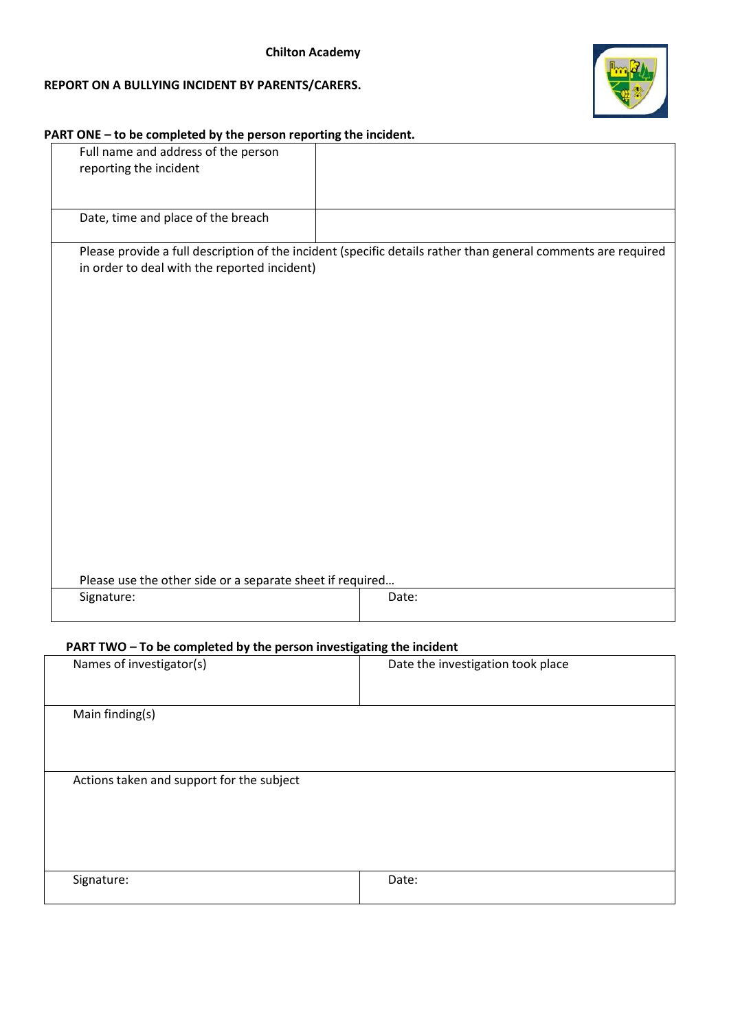## **REPORT ON A BULLYING INCIDENT BY PARENTS/CARERS.**



#### **PART ONE – to be completed by the person reporting the incident.**

| Full name and address of the person<br>reporting the incident |                                                                                                               |
|---------------------------------------------------------------|---------------------------------------------------------------------------------------------------------------|
| Date, time and place of the breach                            |                                                                                                               |
| in order to deal with the reported incident)                  | Please provide a full description of the incident (specific details rather than general comments are required |
| Please use the other side or a separate sheet if required     |                                                                                                               |
| Signature:                                                    | Date:                                                                                                         |

## **PART TWO – To be completed by the person investigating the incident**

| Names of investigator(s)                  | Date the investigation took place |
|-------------------------------------------|-----------------------------------|
| Main finding(s)                           |                                   |
| Actions taken and support for the subject |                                   |
| Signature:                                | Date:                             |